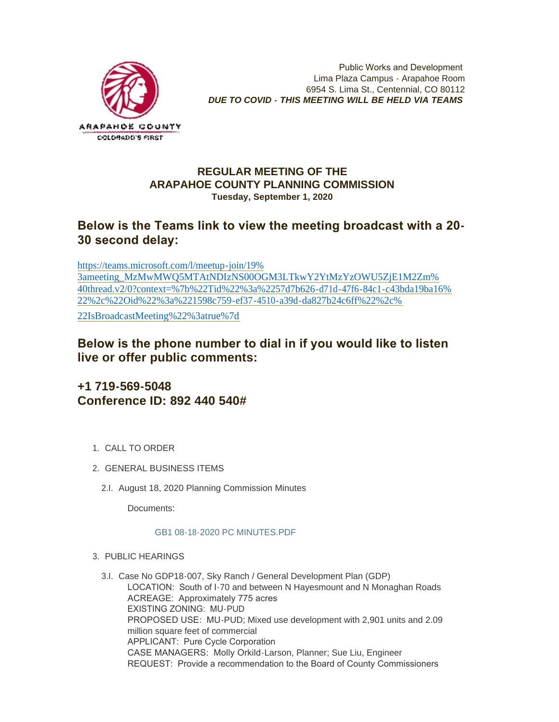

Public Works and Development Lima Plaza Campus - Arapahoe Room 6954 S. Lima St., Centennial, CO 80112 *DUE TO COVID - THIS MEETING WILL BE HELD VIA TEAMS*

### **REGULAR MEETING OF THE ARAPAHOE COUNTY PLANNING COMMISSION Tuesday, September 1, 2020**

## **Below is the Teams link to view the meeting broadcast with a 20- 30 second delay:**

https://teams.microsoft.com/l/meetup-join/19% 3ameeting\_MzMwMWQ5MTAtNDIzNS00OGM3LTkwY2YtMzYzOWU5ZjE1M2Zm% [40thread.v2/0?context=%7b%22Tid%22%3a%2257d7b626-d71d-47f6-84c1-c43bda19ba16%](https://teams.microsoft.com/l/meetup-join/19%3ameeting_MzMwMWQ5MTAtNDIzNS00OGM3LTkwY2YtMzYzOWU5ZjE1M2Zm%40thread.v2/0?context=%7b%22Tid%22%3a%2257d7b626-d71d-47f6-84c1-c43bda19ba16%22%2c%22Oid%22%3a%221598c759-ef37-4510-a39d-da827b24c6ff%22%2c%22IsBroadcastMeeting%22%3atrue%7d) 22%2c%22Oid%22%3a%221598c759-ef37-4510-a39d-da827b24c6ff%22%2c% 22IsBroadcastMeeting%22%3atrue%7d

**Below is the phone number to dial in if you would like to listen live or offer public comments:**

# **+1 719-569-5048 Conference ID: 892 440 540#**

- 1. CALL TO ORDER
- GENERAL BUSINESS ITEMS 2.
	- 2.I. August 18, 2020 Planning Commission Minutes

Documents:

### [GB1 08-18-2020 PC MINUTES.PDF](https://www.arapahoegov.com/AgendaCenter/ViewFile/Item/13238?fileID=23900)

- PUBLIC HEARINGS 3.
	- 3.I. Case No GDP18-007, Sky Ranch / General Development Plan (GDP) LOCATION: South of I-70 and between N Hayesmount and N Monaghan Roads ACREAGE: Approximately 775 acres EXISTING ZONING: MU-PUD PROPOSED USE: MU-PUD; Mixed use development with 2,901 units and 2.09 million square feet of commercial APPLICANT: Pure Cycle Corporation CASE MANAGERS: Molly Orkild-Larson, Planner; Sue Liu, Engineer REQUEST: Provide a recommendation to the Board of County Commissioners